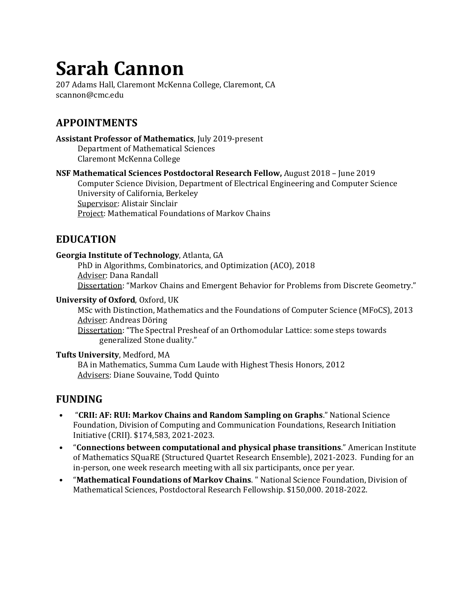# **Sarah Cannon**

207 Adams Hall, Claremont McKenna College, Claremont, CA scannon@cmc.edu

# **APPOINTMENTS**

**Assistant Professor of Mathematics**, July 2019-present Department of Mathematical Sciences Claremont McKenna College

**NSF Mathematical Sciences Postdoctoral Research Fellow,** August 2018 – June 2019

Computer Science Division, Department of Electrical Engineering and Computer Science University of California, Berkeley Supervisor: Alistair Sinclair Project: Mathematical Foundations of Markov Chains

## **EDUCATION**

#### **Georgia Institute of Technology**, Atlanta, GA

PhD in Algorithms, Combinatorics, and Optimization (ACO), 2018 Adviser: Dana Randall Dissertation: "Markov Chains and Emergent Behavior for Problems from Discrete Geometry."

#### **University of Oxford**, Oxford, UK

MSc with Distinction, Mathematics and the Foundations of Computer Science (MFoCS), 2013 Adviser: Andreas Döring

Dissertation: "The Spectral Presheaf of an Orthomodular Lattice: some steps towards generalized Stone duality."

#### **Tufts University**, Medford, MA

BA in Mathematics, Summa Cum Laude with Highest Thesis Honors, 2012 Advisers: Diane Souvaine, Todd Quinto

### **FUNDING**

- "**CRII: AF: RUI: Markov Chains and Random Sampling on Graphs**." National Science Foundation, Division of Computing and Communication Foundations, Research Initiation Initiative (CRII). \$174,583, 2021-2023.
- "**Connections between computational and physical phase transitions**." American Institute of Mathematics SQuaRE (Structured Quartet Research Ensemble), 2021-2023. Funding for an in-person, one week research meeting with all six participants, once per year.
- "**Mathematical Foundations of Markov Chains**. " National Science Foundation, Division of Mathematical Sciences, Postdoctoral Research Fellowship. \$150,000. 2018-2022.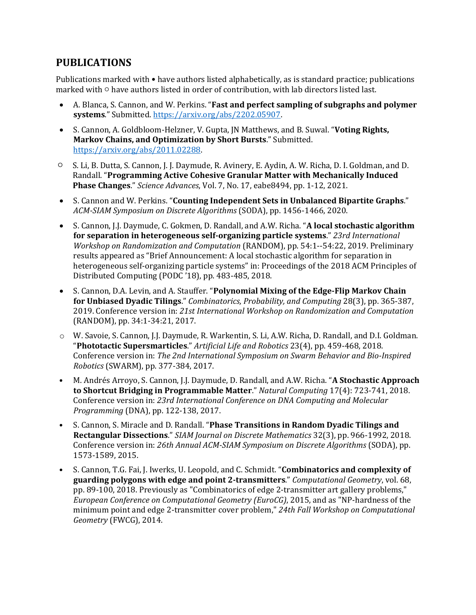## **PUBLICATIONS**

Publications marked with • have authors listed alphabetically, as is standard practice; publications marked with ○ have authors listed in order of contribution, with lab directors listed last.

- A. Blanca, S. Cannon, and W. Perkins. "**Fast and perfect sampling of subgraphs and polymer systems**." Submitted. [https://arxiv.org/abs/2202.05907.](https://arxiv.org/abs/2202.05907)
- S. Cannon, A. Goldbloom-Helzner, V. Gupta, JN Matthews, and B. Suwal. "**Voting Rights, Markov Chains, and Optimization by Short Bursts**." Submitted. [https://arxiv.org/abs/2011.02288.](https://arxiv.org/abs/2011.02288)
- S. Li, B. Dutta, S. Cannon, J. J. Daymude, R. Avinery, E. Aydin, A. W. Richa, D. I. Goldman, and D. Randall. "**Programming Active Cohesive Granular Matter with Mechanically Induced Phase Changes**." *Science Advances*, Vol. 7, No. 17, eabe8494, pp. 1-12, 2021.
- S. Cannon and W. Perkins. "**Counting Independent Sets in Unbalanced Bipartite Graphs**." *ACM-SIAM Symposium on Discrete Algorithms* (SODA), pp. 1456-1466, 2020.
- S. Cannon, J.J. Daymude, C. Gokmen, D. Randall, and A.W. Richa. "**A local stochastic algorithm for separation in heterogeneous self-organizing particle systems**." *23rd International Workshop on Randomization and Computation* (RANDOM), pp. 54:1--54:22, 2019. Preliminary results appeared as "Brief Announcement: A local stochastic algorithm for separation in heterogeneous self-organizing particle systems" in: Proceedings of the 2018 ACM Principles of Distributed Computing (PODC '18), pp. 483-485, 2018.
- S. Cannon, D.A. Levin, and A. Stauffer. "**Polynomial Mixing of the Edge-Flip Markov Chain for Unbiased Dyadic Tilings**." *Combinatorics, Probability, and Computing* 28(3), pp. 365-387, 2019. Conference version in: *21st International Workshop on Randomization and Computation* (RANDOM), pp. 34:1-34:21, 2017.
- o W. Savoie, S. Cannon, J.J. Daymude, R. Warkentin, S. Li, A.W. Richa, D. Randall, and D.I. Goldman. "**Phototactic Supersmarticles**." *Artificial Life and Robotics* 23(4), pp. 459-468, 2018. Conference version in: *The 2nd International Symposium on Swarm Behavior and Bio-Inspired Robotics* (SWARM), pp. 377-384, 2017.
- M. Andrés Arroyo, S. Cannon, J.J. Daymude, D. Randall, and A.W. Richa. "**A Stochastic Approach to Shortcut Bridging in Programmable Matter**." *Natural Computing* 17(4): 723-741, 2018. Conference version in: *23rd International Conference on DNA Computing and Molecular Programming* (DNA), pp. 122-138, 2017.
- S. Cannon, S. Miracle and D. Randall. "**Phase Transitions in Random Dyadic Tilings and Rectangular Dissections**." *SIAM Journal on Discrete Mathematics* 32(3), pp. 966-1992, 2018. Conference version in: *26th Annual ACM-SIAM Symposium on Discrete Algorithms* (SODA), pp. 1573-1589, 2015.
- S. Cannon, T.G. Fai, J. Iwerks, U. Leopold, and C. Schmidt. "**Combinatorics and complexity of guarding polygons with edge and point 2-transmitters**." *Computational Geometry*, vol. 68, pp. 89-100, 2018. Previously as "Combinatorics of edge 2-transmitter art gallery problems," *European Conference on Computational Geometry (EuroCG)*, 2015, and as "NP-hardness of the minimum point and edge 2-transmitter cover problem," *24th Fall Workshop on Computational Geometry* (FWCG), 2014.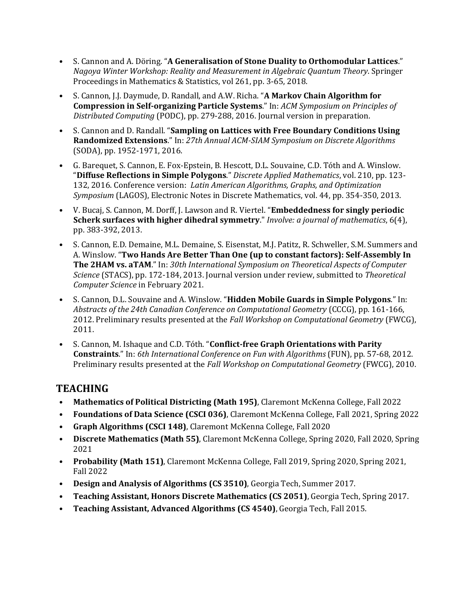- S. Cannon and A. Döring. "**A Generalisation of Stone Duality to Orthomodular Lattices**." *Nagoya Winter Workshop: Reality and Measurement in Algebraic Quantum Theory*. Springer Proceedings in Mathematics & Statistics, vol 261, pp. 3-65, 2018.
- S. Cannon, J.J. Daymude, D. Randall, and A.W. Richa. "**A Markov Chain Algorithm for Compression in Self-organizing Particle Systems**." In: *ACM Symposium on Principles of Distributed Computing* (PODC), pp. 279-288, 2016. Journal version in preparation.
- S. Cannon and D. Randall. "**Sampling on Lattices with Free Boundary Conditions Using Randomized Extensions**." In: *27th Annual ACM-SIAM Symposium on Discrete Algorithms*  (SODA), pp. 1952-1971, 2016.
- G. Barequet, S. Cannon, E. Fox-Epstein, B. Hescott, D.L. Souvaine, C.D. Tóth and A. Winslow. "**Diffuse Reflections in Simple Polygons**." *Discrete Applied Mathematics*, vol. 210, pp. 123- 132, 2016. Conference version: *Latin American Algorithms, Graphs, and Optimization Symposium* (LAGOS), Electronic Notes in Discrete Mathematics, vol. 44, pp. 354-350, 2013.
- V. Bucaj, S. Cannon, M. Dorff, J. Lawson and R. Viertel. "**Embeddedness for singly periodic Scherk surfaces with higher dihedral symmetry**." *Involve: a journal of mathematics*, 6(4), pp. 383-392, 2013.
- S. Cannon, E.D. Demaine, M.L. Demaine, S. Eisenstat, M.J. Patitz, R. Schweller, S.M. Summers and A. Winslow. "**Two Hands Are Better Than One (up to constant factors): Self-Assembly In The 2HAM vs. aTAM**." In: *30th International Symposium on Theoretical Aspects of Computer Science* (STACS), pp. 172-184, 2013. Journal version under review, submitted to *Theoretical Computer Science* in February 2021.
- S. Cannon, D.L. Souvaine and A. Winslow. "**Hidden Mobile Guards in Simple Polygons**." In: *Abstracts of the 24th Canadian Conference on Computational Geometry* (CCCG), pp. 161-166, 2012. Preliminary results presented at the *Fall Workshop on Computational Geometry* (FWCG), 2011.
- S. Cannon, M. Ishaque and C.D. Tóth. "**Conflict-free Graph Orientations with Parity Constraints**." In: *6th International Conference on Fun with Algorithms* (FUN), pp. 57-68, 2012. Preliminary results presented at the *Fall Workshop on Computational Geometry* (FWCG), 2010.

# **TEACHING**

- **Mathematics of Political Districting (Math 195)**, Claremont McKenna College, Fall 2022
- **Foundations of Data Science (CSCI 036)**, Claremont McKenna College, Fall 2021, Spring 2022
- **Graph Algorithms (CSCI 148)**, Claremont McKenna College, Fall 2020
- **Discrete Mathematics (Math 55)**, Claremont McKenna College, Spring 2020, Fall 2020, Spring 2021
- **Probability (Math 151)**, Claremont McKenna College, Fall 2019, Spring 2020, Spring 2021, Fall 2022
- **Design and Analysis of Algorithms (CS 3510)**, Georgia Tech, Summer 2017.
- **Teaching Assistant, Honors Discrete Mathematics (CS 2051)**, Georgia Tech, Spring 2017.
- **Teaching Assistant, Advanced Algorithms (CS 4540)**, Georgia Tech, Fall 2015.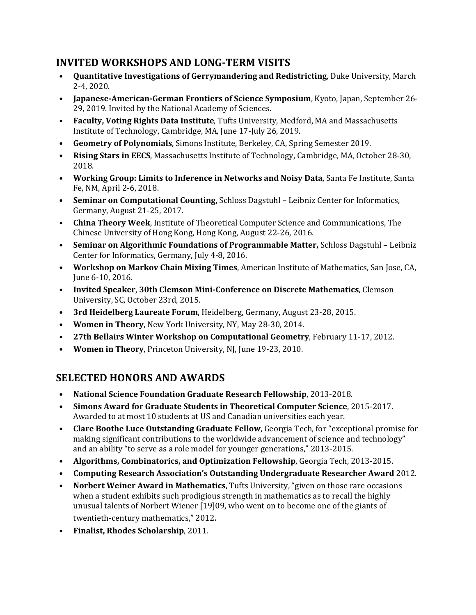# **INVITED WORKSHOPS AND LONG-TERM VISITS**

- **Quantitative Investigations of Gerrymandering and Redistricting**, Duke University, March 2-4, 2020.
- **Japanese-American-German Frontiers of Science Symposium**, Kyoto, Japan, September 26- 29, 2019. Invited by the National Academy of Sciences.
- **Faculty, Voting Rights Data Institute**, Tufts University, Medford, MA and Massachusetts Institute of Technology, Cambridge, MA, June 17-July 26, 2019.
- **Geometry of Polynomials**, Simons Institute, Berkeley, CA, Spring Semester 2019.
- **Rising Stars in EECS**, Massachusetts Institute of Technology, Cambridge, MA, October 28-30, 2018.
- **Working Group: Limits to Inference in Networks and Noisy Data**, Santa Fe Institute, Santa Fe, NM, April 2-6, 2018.
- **Seminar on Computational Counting,** Schloss Dagstuhl Leibniz Center for Informatics, Germany, August 21-25, 2017.
- **China Theory Week**, Institute of Theoretical Computer Science and Communications, The Chinese University of Hong Kong, Hong Kong, August 22-26, 2016.
- **Seminar on Algorithmic Foundations of Programmable Matter,** Schloss Dagstuhl Leibniz Center for Informatics, Germany, July 4-8, 2016.
- **Workshop on Markov Chain Mixing Times**, American Institute of Mathematics, San Jose, CA, June 6-10, 2016.
- **Invited Speaker**, **30th Clemson Mini-Conference on Discrete Mathematics**, Clemson University, SC, October 23rd, 2015.
- **3rd Heidelberg Laureate Forum**, Heidelberg, Germany, August 23-28, 2015.
- **Women in Theory**, New York University, NY, May 28-30, 2014.
- **27th Bellairs Winter Workshop on Computational Geometry**, February 11-17, 2012.
- **Women in Theory**, Princeton University, NJ, June 19-23, 2010.

# **SELECTED HONORS AND AWARDS**

- **National Science Foundation Graduate Research Fellowship**, 2013-2018.
- **Simons Award for Graduate Students in Theoretical Computer Science**, 2015-2017. Awarded to at most 10 students at US and Canadian universities each year.
- **Clare Boothe Luce Outstanding Graduate Fellow**, Georgia Tech, for "exceptional promise for making significant contributions to the worldwide advancement of science and technology" and an ability "to serve as a role model for younger generations," 2013-2015.
- **Algorithms, Combinatorics, and Optimization Fellowship**, Georgia Tech, 2013-2015.
- **Computing Research Association's Outstanding Undergraduate Researcher Award** 2012.
- **Norbert Weiner Award in Mathematics**, Tufts University, "given on those rare occasions when a student exhibits such prodigious strength in mathematics as to recall the highly unusual talents of Norbert Wiener [19]09, who went on to become one of the giants of twentieth-century mathematics," 2012.
- **Finalist, Rhodes Scholarship**, 2011.